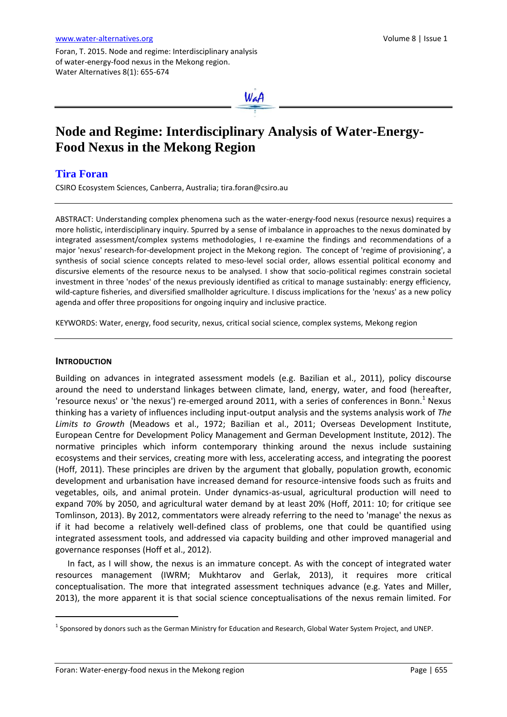Foran, T. 2015. Node and regime: Interdisciplinary analysis of water-energy-food nexus in the Mekong region. Water Alternatives 8(1): 655-674



# **Node and Regime: Interdisciplinary Analysis of Water-Energy-Food Nexus in the Mekong Region**

# **Tira Foran**

CSIRO Ecosystem Sciences, Canberra, Australia[; tira.foran@csiro.au](mailto:tira.foran@csiro.au)

ABSTRACT: Understanding complex phenomena such as the water-energy-food nexus (resource nexus) requires a more holistic, interdisciplinary inquiry. Spurred by a sense of imbalance in approaches to the nexus dominated by integrated assessment/complex systems methodologies, I re-examine the findings and recommendations of a major 'nexus' research-for-development project in the Mekong region. The concept of 'regime of provisioning', a synthesis of social science concepts related to meso-level social order, allows essential political economy and discursive elements of the resource nexus to be analysed. I show that socio-political regimes constrain societal investment in three 'nodes' of the nexus previously identified as critical to manage sustainably: energy efficiency, wild-capture fisheries, and diversified smallholder agriculture. I discuss implications for the 'nexus' as a new policy agenda and offer three propositions for ongoing inquiry and inclusive practice.

KEYWORDS: Water, energy, food security, nexus, critical social science, complex systems, Mekong region

# **INTRODUCTION**

 $\overline{a}$ 

Building on advances in integrated assessment models (e.g. Bazilian et al., 2011), policy discourse around the need to understand linkages between climate, land, energy, water, and food (hereafter, 'resource nexus' or 'the nexus') re-emerged around 2011, with a series of conferences in Bonn.<sup>1</sup> Nexus thinking has a variety of influences including input-output analysis and the systems analysis work of *The Limits to Growth* (Meadows et al., 1972; Bazilian et al., 2011; Overseas Development Institute, European Centre for Development Policy Management and German Development Institute, 2012). The normative principles which inform contemporary thinking around the nexus include sustaining ecosystems and their services, creating more with less, accelerating access, and integrating the poorest (Hoff, 2011). These principles are driven by the argument that globally, population growth, economic development and urbanisation have increased demand for resource-intensive foods such as fruits and vegetables, oils, and animal protein. Under dynamics-as-usual, agricultural production will need to expand 70% by 2050, and agricultural water demand by at least 20% (Hoff, 2011: 10; for critique see Tomlinson, 2013). By 2012, commentators were already referring to the need to 'manage' the nexus as if it had become a relatively well-defined class of problems, one that could be quantified using integrated assessment tools, and addressed via capacity building and other improved managerial and governance responses (Hoff et al., 2012).

In fact, as I will show, the nexus is an immature concept. As with the concept of integrated water resources management (IWRM; Mukhtarov and Gerlak, 2013), it requires more critical conceptualisation. The more that integrated assessment techniques advance (e.g. Yates and Miller, 2013), the more apparent it is that social science conceptualisations of the nexus remain limited. For

 $^1$  Sponsored by donors such as the German Ministry for Education and Research, Global Water System Project, and UNEP.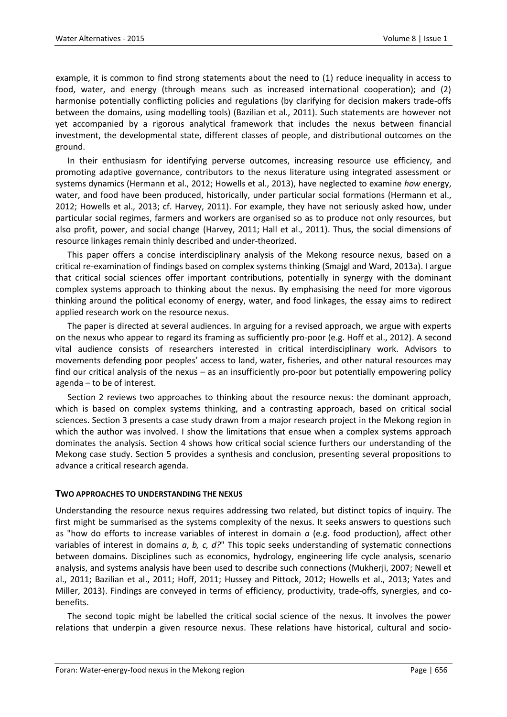example, it is common to find strong statements about the need to (1) reduce inequality in access to food, water, and energy (through means such as increased international cooperation); and (2) harmonise potentially conflicting policies and regulations (by clarifying for decision makers trade-offs between the domains, using modelling tools) (Bazilian et al., 2011). Such statements are however not yet accompanied by a rigorous analytical framework that includes the nexus between financial investment, the developmental state, different classes of people, and distributional outcomes on the ground.

In their enthusiasm for identifying perverse outcomes, increasing resource use efficiency, and promoting adaptive governance, contributors to the nexus literature using integrated assessment or systems dynamics (Hermann et al., 2012; Howells et al., 2013), have neglected to examine *how* energy, water, and food have been produced, historically, under particular social formations (Hermann et al., 2012; Howells et al., 2013; cf. Harvey, 2011). For example, they have not seriously asked how, under particular social regimes, farmers and workers are organised so as to produce not only resources, but also profit, power, and social change (Harvey, 2011; Hall et al., 2011). Thus, the social dimensions of resource linkages remain thinly described and under-theorized.

This paper offers a concise interdisciplinary analysis of the Mekong resource nexus, based on a critical re-examination of findings based on complex systems thinking (Smajgl and Ward, 2013a). I argue that critical social sciences offer important contributions, potentially in synergy with the dominant complex systems approach to thinking about the nexus. By emphasising the need for more vigorous thinking around the political economy of energy, water, and food linkages, the essay aims to redirect applied research work on the resource nexus.

The paper is directed at several audiences. In arguing for a revised approach, we argue with experts on the nexus who appear to regard its framing as sufficiently pro-poor (e.g. Hoff et al., 2012). A second vital audience consists of researchers interested in critical interdisciplinary work. Advisors to movements defending poor peoples' access to land, water, fisheries, and other natural resources may find our critical analysis of the nexus – as an insufficiently pro-poor but potentially empowering policy agenda – to be of interest.

Section 2 reviews two approaches to thinking about the resource nexus: the dominant approach, which is based on complex systems thinking, and a contrasting approach, based on critical social sciences. Section 3 presents a case study drawn from a major research project in the Mekong region in which the author was involved. I show the limitations that ensue when a complex systems approach dominates the analysis. Section 4 shows how critical social science furthers our understanding of the Mekong case study. Section 5 provides a synthesis and conclusion, presenting several propositions to advance a critical research agenda.

# **TWO APPROACHES TO UNDERSTANDING THE NEXUS**

Understanding the resource nexus requires addressing two related, but distinct topics of inquiry. The first might be summarised as the systems complexity of the nexus. It seeks answers to questions such as "how do efforts to increase variables of interest in domain *a* (e.g. food production), affect other variables of interest in domains *a*, *b, c, d?*" This topic seeks understanding of systematic connections between domains. Disciplines such as economics, hydrology, engineering life cycle analysis, scenario analysis, and systems analysis have been used to describe such connections (Mukherji, 2007; Newell et al., 2011; Bazilian et al., 2011; Hoff, 2011; Hussey and Pittock, 2012; Howells et al., 2013; Yates and Miller, 2013). Findings are conveyed in terms of efficiency, productivity, trade-offs, synergies, and cobenefits.

The second topic might be labelled the critical social science of the nexus. It involves the power relations that underpin a given resource nexus. These relations have historical, cultural and socio-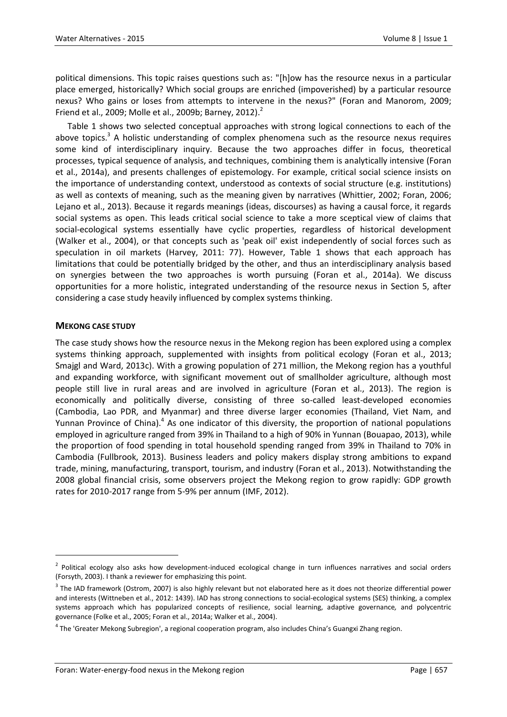political dimensions. This topic raises questions such as: "[h]ow has the resource nexus in a particular place emerged, historically? Which social groups are enriched (impoverished) by a particular resource nexus? Who gains or loses from attempts to intervene in the nexus?" (Foran and Manorom, 2009; Friend et al., 2009; Molle et al., 2009b; Barney, 2012). $^2$ 

Table 1 shows two selected conceptual approaches with strong logical connections to each of the above topics.<sup>3</sup> A holistic understanding of complex phenomena such as the resource nexus requires some kind of interdisciplinary inquiry. Because the two approaches differ in focus, theoretical processes, typical sequence of analysis, and techniques, combining them is analytically intensive (Foran et al., 2014a), and presents challenges of epistemology. For example, critical social science insists on the importance of understanding context, understood as contexts of social structure (e.g. institutions) as well as contexts of meaning, such as the meaning given by narratives (Whittier, 2002; Foran, 2006; Lejano et al., 2013). Because it regards meanings (ideas, discourses) as having a causal force, it regards social systems as open. This leads critical social science to take a more sceptical view of claims that social-ecological systems essentially have cyclic properties, regardless of historical development (Walker et al., 2004), or that concepts such as 'peak oil' exist independently of social forces such as speculation in oil markets (Harvey, 2011: 77). However, Table 1 shows that each approach has limitations that could be potentially bridged by the other, and thus an interdisciplinary analysis based on synergies between the two approaches is worth pursuing (Foran et al., 2014a). We discuss opportunities for a more holistic, integrated understanding of the resource nexus in Section 5, after considering a case study heavily influenced by complex systems thinking.

# **MEKONG CASE STUDY**

 $\overline{a}$ 

The case study shows how the resource nexus in the Mekong region has been explored using a complex systems thinking approach, supplemented with insights from political ecology (Foran et al., 2013; Smajgl and Ward, 2013c). With a growing population of 271 million, the Mekong region has a youthful and expanding workforce, with significant movement out of smallholder agriculture, although most people still live in rural areas and are involved in agriculture (Foran et al., 2013). The region is economically and politically diverse, consisting of three so-called least-developed economies (Cambodia, Lao PDR, and Myanmar) and three diverse larger economies (Thailand, Viet Nam, and Yunnan Province of China).<sup>4</sup> As one indicator of this diversity, the proportion of national populations employed in agriculture ranged from 39% in Thailand to a high of 90% in Yunnan (Bouapao, 2013), while the proportion of food spending in total household spending ranged from 39% in Thailand to 70% in Cambodia (Fullbrook, 2013). Business leaders and policy makers display strong ambitions to expand trade, mining, manufacturing, transport, tourism, and industry (Foran et al., 2013). Notwithstanding the 2008 global financial crisis, some observers project the Mekong region to grow rapidly: GDP growth rates for 2010-2017 range from 5-9% per annum (IMF, 2012).

<sup>&</sup>lt;sup>2</sup> Political ecology also asks how development-induced ecological change in turn influences narratives and social orders (Forsyth, 2003). I thank a reviewer for emphasizing this point.

 $3$  The IAD framework (Ostrom, 2007) is also highly relevant but not elaborated here as it does not theorize differential power and interests (Wittneben et al., 2012: 1439). IAD has strong connections to social-ecological systems (SES) thinking, a complex systems approach which has popularized concepts of resilience, social learning, adaptive governance*,* and polycentric governance (Folke et al., 2005; Foran et al., 2014a; Walker et al., 2004).

<sup>&</sup>lt;sup>4</sup> The 'Greater Mekong Subregion', a regional cooperation program, also includes China's Guangxi Zhang region.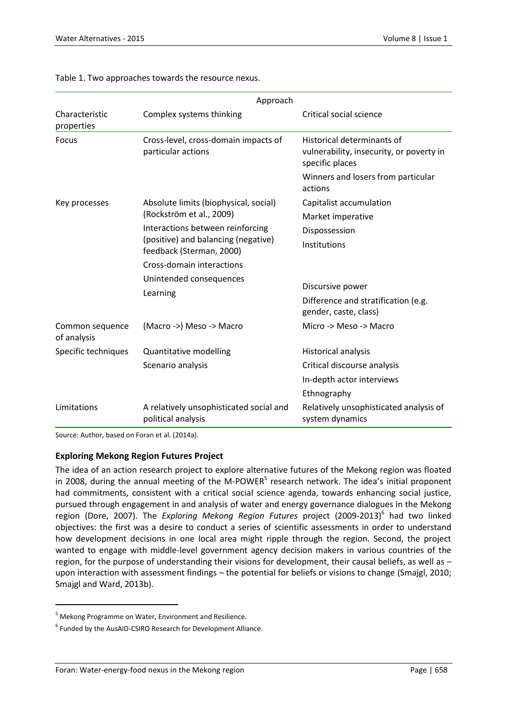|                                | Approach                                                                                            |                                                                                           |  |
|--------------------------------|-----------------------------------------------------------------------------------------------------|-------------------------------------------------------------------------------------------|--|
| Characteristic<br>properties   | Complex systems thinking                                                                            | Critical social science                                                                   |  |
| Focus                          | Cross-level, cross-domain impacts of<br>particular actions                                          | Historical determinants of<br>vulnerability, insecurity, or poverty in<br>specific places |  |
|                                |                                                                                                     | Winners and losers from particular<br>actions                                             |  |
| Key processes                  | Absolute limits (biophysical, social)<br>(Rockström et al., 2009)                                   | Capitalist accumulation                                                                   |  |
|                                |                                                                                                     | Market imperative                                                                         |  |
|                                | Interactions between reinforcing<br>(positive) and balancing (negative)<br>feedback (Sterman, 2000) | Dispossession                                                                             |  |
|                                |                                                                                                     | Institutions                                                                              |  |
|                                | Cross-domain interactions                                                                           | Discursive power<br>Difference and stratification (e.g.<br>gender, caste, class)          |  |
|                                | Unintended consequences<br>Learning                                                                 |                                                                                           |  |
| Common sequence<br>of analysis | (Macro ->) Meso -> Macro                                                                            | Micro -> Meso -> Macro                                                                    |  |
| Specific techniques            | <b>Quantitative modelling</b>                                                                       | Historical analysis                                                                       |  |
|                                | Scenario analysis                                                                                   | Critical discourse analysis                                                               |  |
|                                |                                                                                                     | In-depth actor interviews                                                                 |  |
|                                |                                                                                                     | Ethnography                                                                               |  |
| Limitations                    | A relatively unsophisticated social and<br>political analysis                                       | Relatively unsophisticated analysis of<br>system dynamics                                 |  |

# Table 1. Two approaches towards the resource nexus.

Source: Author, based on Foran et al. (2014a).

# **Exploring Mekong Region Futures Project**

The idea of an action research project to explore alternative futures of the Mekong region was floated in 2008, during the annual meeting of the M-POWER<sup>5</sup> research network. The idea's initial proponent had commitments, consistent with a critical social science agenda, towards enhancing social justice, pursued through engagement in and analysis of water and energy governance dialogues in the Mekong region (Dore, 2007). The Exploring Mekong Region Futures project (2009-2013)<sup>6</sup> had two linked objectives: the first was a desire to conduct a series of scientific assessments in order to understand how development decisions in one local area might ripple through the region. Second, the project wanted to engage with middle-level government agency decision makers in various countries of the region, for the purpose of understanding their visions for development, their causal beliefs, as well as – upon interaction with assessment findings – the potential for beliefs or visions to change (Smajgl, 2010; Smajgl and Ward, 2013b).

 $\ddot{\phantom{a}}$ 

<sup>5</sup> Mekong Programme on Water, Environment and Resilience.

<sup>&</sup>lt;sup>6</sup> Funded by the AusAID-CSIRO Research for Development Alliance.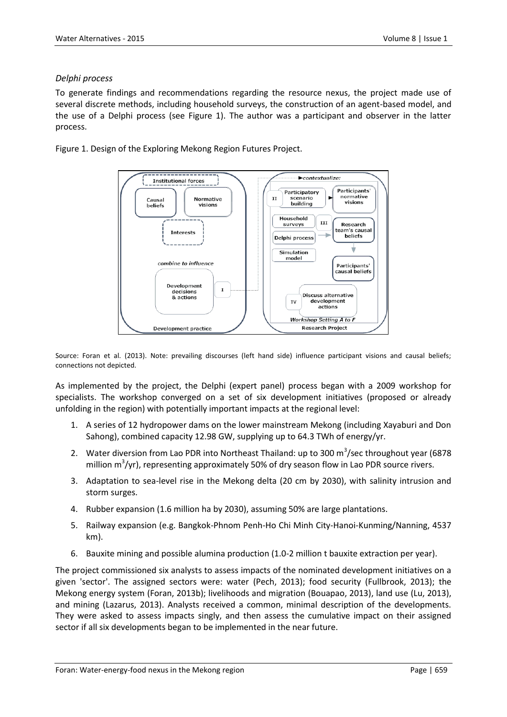# *Delphi process*

To generate findings and recommendations regarding the resource nexus, the project made use of several discrete methods, including household surveys, the construction of an agent-based model, and the use of a Delphi process (see Figure 1). The author was a participant and observer in the latter process.

Figure 1. Design of the Exploring Mekong Region Futures Project.



Source: Foran et al. (2013). Note: prevailing discourses (left hand side) influence participant visions and causal beliefs; connections not depicted.

As implemented by the project, the Delphi (expert panel) process began with a 2009 workshop for specialists. The workshop converged on a set of six development initiatives (proposed or already unfolding in the region) with potentially important impacts at the regional level:

- 1. A series of 12 hydropower dams on the lower mainstream Mekong (including Xayaburi and Don Sahong), combined capacity 12.98 GW, supplying up to 64.3 TWh of energy/yr.
- 2. Water diversion from Lao PDR into Northeast Thailand: up to 300  $\text{m}^3\text{/sec}$  throughout year (6878 million m $\frac{3}{y}$ r), representing approximately 50% of dry season flow in Lao PDR source rivers.
- 3. Adaptation to sea-level rise in the Mekong delta (20 cm by 2030), with salinity intrusion and storm surges.
- 4. Rubber expansion (1.6 million ha by 2030), assuming 50% are large plantations.
- 5. Railway expansion (e.g. Bangkok-Phnom Penh-Ho Chi Minh City-Hanoi-Kunming/Nanning, 4537 km).
- 6. Bauxite mining and possible alumina production (1.0-2 million t bauxite extraction per year).

The project commissioned six analysts to assess impacts of the nominated development initiatives on a given 'sector'. The assigned sectors were: water (Pech, 2013); food security (Fullbrook, 2013); the Mekong energy system (Foran, 2013b); livelihoods and migration (Bouapao, 2013), land use (Lu, 2013), and mining (Lazarus, 2013). Analysts received a common, minimal description of the developments. They were asked to assess impacts singly, and then assess the cumulative impact on their assigned sector if all six developments began to be implemented in the near future.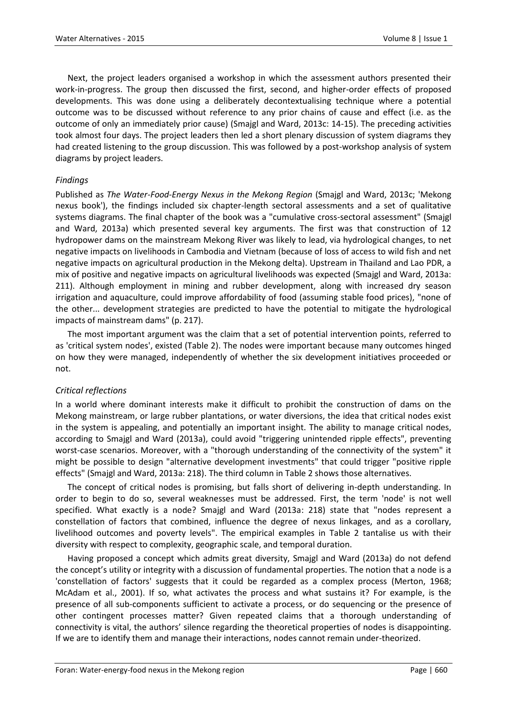Next, the project leaders organised a workshop in which the assessment authors presented their work-in-progress. The group then discussed the first, second, and higher-order effects of proposed developments. This was done using a deliberately decontextualising technique where a potential outcome was to be discussed without reference to any prior chains of cause and effect (i.e. as the outcome of only an immediately prior cause) (Smajgl and Ward, 2013c: 14-15). The preceding activities took almost four days. The project leaders then led a short plenary discussion of system diagrams they had created listening to the group discussion. This was followed by a post-workshop analysis of system diagrams by project leaders.

# *Findings*

Published as *The Water-Food-Energy Nexus in the Mekong Region* (Smajgl and Ward, 2013c; 'Mekong nexus book'), the findings included six chapter-length sectoral assessments and a set of qualitative systems diagrams. The final chapter of the book was a "cumulative cross-sectoral assessment" (Smajgl and Ward, 2013a) which presented several key arguments. The first was that construction of 12 hydropower dams on the mainstream Mekong River was likely to lead, via hydrological changes, to net negative impacts on livelihoods in Cambodia and Vietnam (because of loss of access to wild fish and net negative impacts on agricultural production in the Mekong delta). Upstream in Thailand and Lao PDR, a mix of positive and negative impacts on agricultural livelihoods was expected (Smajgl and Ward, 2013a: 211). Although employment in mining and rubber development, along with increased dry season irrigation and aquaculture, could improve affordability of food (assuming stable food prices), "none of the other... development strategies are predicted to have the potential to mitigate the hydrological impacts of mainstream dams" (p. 217).

The most important argument was the claim that a set of potential intervention points, referred to as 'critical system nodes', existed (Table 2). The nodes were important because many outcomes hinged on how they were managed, independently of whether the six development initiatives proceeded or not.

# *Critical reflections*

In a world where dominant interests make it difficult to prohibit the construction of dams on the Mekong mainstream, or large rubber plantations, or water diversions, the idea that critical nodes exist in the system is appealing, and potentially an important insight. The ability to manage critical nodes, according to Smajgl and Ward (2013a), could avoid "triggering unintended ripple effects", preventing worst-case scenarios. Moreover, with a "thorough understanding of the connectivity of the system" it might be possible to design "alternative development investments" that could trigger "positive ripple effects" (Smajgl and Ward, 2013a: 218). The third column in Table 2 shows those alternatives.

The concept of critical nodes is promising, but falls short of delivering in-depth understanding. In order to begin to do so, several weaknesses must be addressed. First, the term 'node' is not well specified. What exactly is a node? Smajgl and Ward (2013a: 218) state that "nodes represent a constellation of factors that combined, influence the degree of nexus linkages, and as a corollary, livelihood outcomes and poverty levels". The empirical examples in Table 2 tantalise us with their diversity with respect to complexity, geographic scale, and temporal duration.

Having proposed a concept which admits great diversity, Smajgl and Ward (2013a) do not defend the concept's utility or integrity with a discussion of fundamental properties. The notion that a node is a 'constellation of factors' suggests that it could be regarded as a complex process (Merton, 1968; McAdam et al., 2001). If so, what activates the process and what sustains it? For example, is the presence of all sub-components sufficient to activate a process, or do sequencing or the presence of other contingent processes matter? Given repeated claims that a thorough understanding of connectivity is vital, the authors' silence regarding the theoretical properties of nodes is disappointing. If we are to identify them and manage their interactions, nodes cannot remain under-theorized.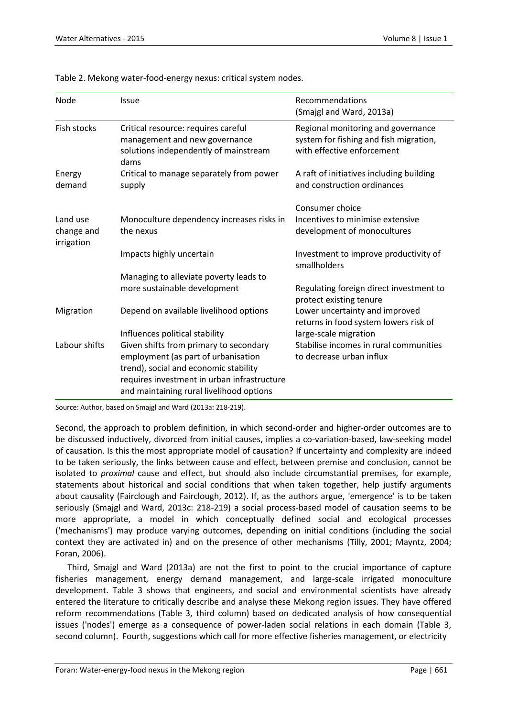| Node                                 | <b>Issue</b>                                                                                                                                                                                                      | Recommendations<br>(Smajgl and Ward, 2013a)                                                                |
|--------------------------------------|-------------------------------------------------------------------------------------------------------------------------------------------------------------------------------------------------------------------|------------------------------------------------------------------------------------------------------------|
| <b>Fish stocks</b>                   | Critical resource: requires careful<br>management and new governance<br>solutions independently of mainstream<br>dams                                                                                             | Regional monitoring and governance<br>system for fishing and fish migration,<br>with effective enforcement |
| Energy<br>demand                     | Critical to manage separately from power<br>supply                                                                                                                                                                | A raft of initiatives including building<br>and construction ordinances                                    |
| Land use<br>change and<br>irrigation | Monoculture dependency increases risks in<br>the nexus                                                                                                                                                            | Consumer choice<br>Incentives to minimise extensive<br>development of monocultures                         |
|                                      | Impacts highly uncertain                                                                                                                                                                                          | Investment to improve productivity of<br>smallholders                                                      |
|                                      | Managing to alleviate poverty leads to                                                                                                                                                                            |                                                                                                            |
|                                      | more sustainable development                                                                                                                                                                                      | Regulating foreign direct investment to<br>protect existing tenure                                         |
| Migration                            | Depend on available livelihood options                                                                                                                                                                            | Lower uncertainty and improved<br>returns in food system lowers risk of                                    |
|                                      | Influences political stability                                                                                                                                                                                    | large-scale migration                                                                                      |
| Labour shifts                        | Given shifts from primary to secondary<br>employment (as part of urbanisation<br>trend), social and economic stability<br>requires investment in urban infrastructure<br>and maintaining rural livelihood options | Stabilise incomes in rural communities<br>to decrease urban influx                                         |

Table 2. Mekong water-food-energy nexus: critical system nodes.

Source: Author, based on Smajgl and Ward (2013a: 218-219).

Second, the approach to problem definition, in which second-order and higher-order outcomes are to be discussed inductively, divorced from initial causes, implies a co-variation-based, law-seeking model of causation. Is this the most appropriate model of causation? If uncertainty and complexity are indeed to be taken seriously, the links between cause and effect, between premise and conclusion, cannot be isolated to *proximal* cause and effect, but should also include circumstantial premises, for example, statements about historical and social conditions that when taken together, help justify arguments about causality (Fairclough and Fairclough, 2012). If, as the authors argue, 'emergence' is to be taken seriously (Smajgl and Ward, 2013c: 218-219) a social process-based model of causation seems to be more appropriate, a model in which conceptually defined social and ecological processes ('mechanisms') may produce varying outcomes, depending on initial conditions (including the social context they are activated in) and on the presence of other mechanisms (Tilly, 2001; Mayntz, 2004; Foran, 2006).

Third, Smajgl and Ward (2013a) are not the first to point to the crucial importance of capture fisheries management, energy demand management, and large-scale irrigated monoculture development. Table 3 shows that engineers, and social and environmental scientists have already entered the literature to critically describe and analyse these Mekong region issues. They have offered reform recommendations (Table 3, third column) based on dedicated analysis of how consequential issues ('nodes') emerge as a consequence of power-laden social relations in each domain (Table 3, second column). Fourth, suggestions which call for more effective fisheries management, or electricity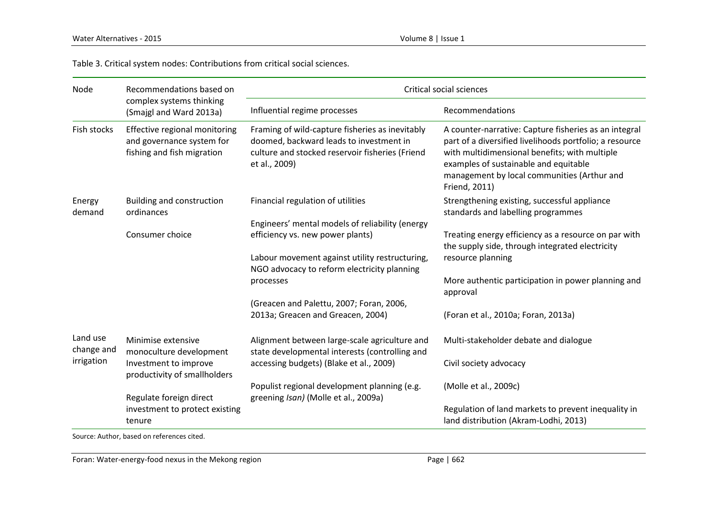Table 3. Critical system nodes: Contributions from critical social sciences.

| Node                   | Recommendations based on<br>complex systems thinking<br>(Smajgl and Ward 2013a)          | Critical social sciences                                                                                                                                       |                                                                                                                                                                                                                                                                            |  |
|------------------------|------------------------------------------------------------------------------------------|----------------------------------------------------------------------------------------------------------------------------------------------------------------|----------------------------------------------------------------------------------------------------------------------------------------------------------------------------------------------------------------------------------------------------------------------------|--|
|                        |                                                                                          | Influential regime processes                                                                                                                                   | Recommendations                                                                                                                                                                                                                                                            |  |
| Fish stocks            | Effective regional monitoring<br>and governance system for<br>fishing and fish migration | Framing of wild-capture fisheries as inevitably<br>doomed, backward leads to investment in<br>culture and stocked reservoir fisheries (Friend<br>et al., 2009) | A counter-narrative: Capture fisheries as an integral<br>part of a diversified livelihoods portfolio; a resource<br>with multidimensional benefits; with multiple<br>examples of sustainable and equitable<br>management by local communities (Arthur and<br>Friend, 2011) |  |
| Energy<br>demand       | Building and construction<br>ordinances                                                  | Financial regulation of utilities                                                                                                                              | Strengthening existing, successful appliance<br>standards and labelling programmes                                                                                                                                                                                         |  |
|                        | Consumer choice                                                                          | Engineers' mental models of reliability (energy<br>efficiency vs. new power plants)<br>Labour movement against utility restructuring,                          | Treating energy efficiency as a resource on par with<br>the supply side, through integrated electricity<br>resource planning                                                                                                                                               |  |
|                        |                                                                                          | NGO advocacy to reform electricity planning<br>processes                                                                                                       | More authentic participation in power planning and<br>approval                                                                                                                                                                                                             |  |
|                        |                                                                                          | (Greacen and Palettu, 2007; Foran, 2006,<br>2013a; Greacen and Greacen, 2004)                                                                                  | (Foran et al., 2010a; Foran, 2013a)                                                                                                                                                                                                                                        |  |
| Land use<br>change and | Minimise extensive<br>monoculture development                                            | Alignment between large-scale agriculture and<br>state developmental interests (controlling and                                                                | Multi-stakeholder debate and dialogue                                                                                                                                                                                                                                      |  |
| irrigation             | Investment to improve<br>productivity of smallholders                                    | accessing budgets) (Blake et al., 2009)                                                                                                                        | Civil society advocacy                                                                                                                                                                                                                                                     |  |
|                        | Regulate foreign direct                                                                  | Populist regional development planning (e.g.<br>greening Isan) (Molle et al., 2009a)                                                                           | (Molle et al., 2009c)                                                                                                                                                                                                                                                      |  |
|                        | investment to protect existing<br>tenure                                                 |                                                                                                                                                                | Regulation of land markets to prevent inequality in<br>land distribution (Akram-Lodhi, 2013)                                                                                                                                                                               |  |

Source: Author, based on references cited.

Foran: Water-energy-food nexus in the Mekong region example of the Mexicon Page | 662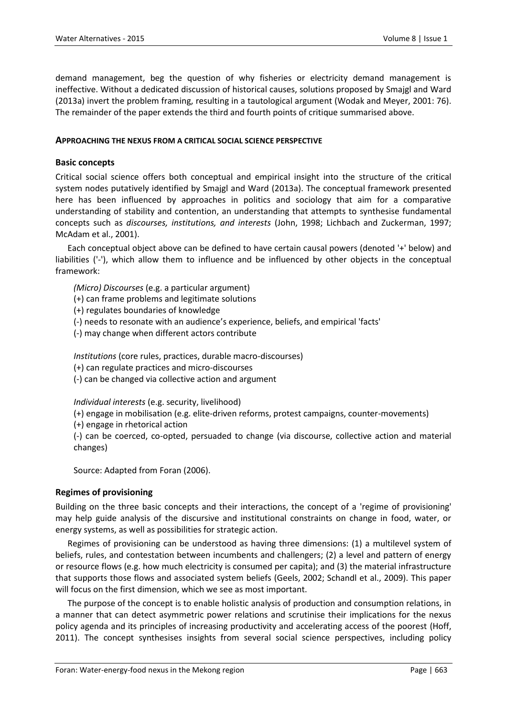demand management, beg the question of why fisheries or electricity demand management is ineffective. Without a dedicated discussion of historical causes, solutions proposed by Smajgl and Ward (2013a) invert the problem framing, resulting in a tautological argument (Wodak and Meyer, 2001: 76). The remainder of the paper extends the third and fourth points of critique summarised above.

#### **APPROACHING THE NEXUS FROM A CRITICAL SOCIAL SCIENCE PERSPECTIVE**

#### **Basic concepts**

Critical social science offers both conceptual and empirical insight into the structure of the critical system nodes putatively identified by Smajgl and Ward (2013a). The conceptual framework presented here has been influenced by approaches in politics and sociology that aim for a comparative understanding of stability and contention, an understanding that attempts to synthesise fundamental concepts such as *discourses, institutions, and interests* (John, 1998; Lichbach and Zuckerman, 1997; McAdam et al., 2001).

Each conceptual object above can be defined to have certain causal powers (denoted '+' below) and liabilities ('-'), which allow them to influence and be influenced by other objects in the conceptual framework:

*(Micro) Discourses* (e.g. a particular argument)

- (+) can frame problems and legitimate solutions
- (+) regulates boundaries of knowledge
- (-) needs to resonate with an audience's experience, beliefs, and empirical 'facts'
- (-) may change when different actors contribute

*Institutions* (core rules, practices, durable macro-discourses)

(+) can regulate practices and micro-discourses

(-) can be changed via collective action and argument

*Individual interests* (e.g. security, livelihood)

- (+) engage in mobilisation (e.g. elite-driven reforms, protest campaigns, counter-movements)
- (+) engage in rhetorical action

(-) can be coerced, co-opted, persuaded to change (via discourse, collective action and material changes)

Source: Adapted from Foran (2006).

# **Regimes of provisioning**

Building on the three basic concepts and their interactions, the concept of a 'regime of provisioning' may help guide analysis of the discursive and institutional constraints on change in food, water, or energy systems, as well as possibilities for strategic action.

Regimes of provisioning can be understood as having three dimensions: (1) a multilevel system of beliefs, rules, and contestation between incumbents and challengers; (2) a level and pattern of energy or resource flows (e.g. how much electricity is consumed per capita); and (3) the material infrastructure that supports those flows and associated system beliefs (Geels, 2002; Schandl et al., 2009). This paper will focus on the first dimension, which we see as most important.

The purpose of the concept is to enable holistic analysis of production and consumption relations, in a manner that can detect asymmetric power relations and scrutinise their implications for the nexus policy agenda and its principles of increasing productivity and accelerating access of the poorest (Hoff, 2011). The concept synthesises insights from several social science perspectives, including policy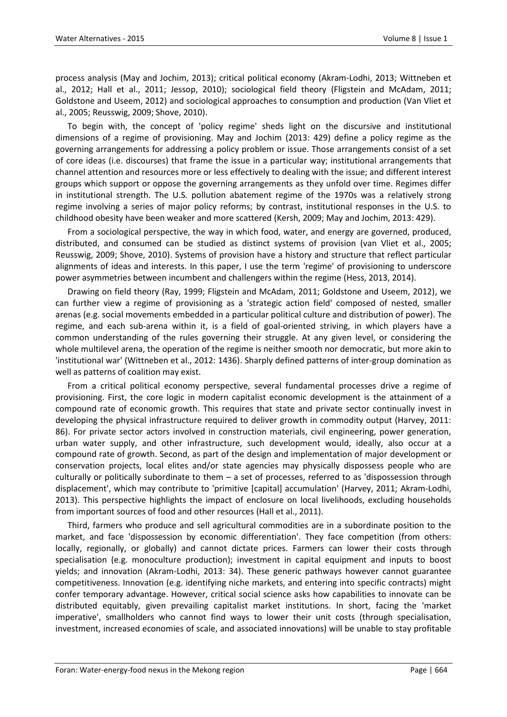process analysis (May and Jochim, 2013); critical political economy (Akram-Lodhi, 2013; Wittneben et al., 2012; Hall et al., 2011; Jessop, 2010); sociological field theory (Fligstein and McAdam, 2011; Goldstone and Useem, 2012) and sociological approaches to consumption and production (Van Vliet et al., 2005; Reusswig, 2009; Shove, 2010).

To begin with, the concept of 'policy regime' sheds light on the discursive and institutional dimensions of a regime of provisioning. May and Jochim (2013: 429) define a policy regime as the governing arrangements for addressing a policy problem or issue. Those arrangements consist of a set of core ideas (i.e. discourses) that frame the issue in a particular way; institutional arrangements that channel attention and resources more or less effectively to dealing with the issue; and different interest groups which support or oppose the governing arrangements as they unfold over time. Regimes differ in institutional strength. The U.S. pollution abatement regime of the 1970s was a relatively strong regime involving a series of major policy reforms; by contrast, institutional responses in the U.S. to childhood obesity have been weaker and more scattered (Kersh, 2009; May and Jochim, 2013: 429).

From a sociological perspective, the way in which food, water, and energy are governed, produced, distributed, and consumed can be studied as distinct systems of provision (van Vliet et al., 2005; Reusswig, 2009; Shove, 2010). Systems of provision have a history and structure that reflect particular alignments of ideas and interests. In this paper, I use the term 'regime' of provisioning to underscore power asymmetries between incumbent and challengers within the regime (Hess, 2013, 2014).

Drawing on field theory (Ray, 1999; Fligstein and McAdam, 2011; Goldstone and Useem, 2012), we can further view a regime of provisioning as a 'strategic action field' composed of nested, smaller arenas (e.g. social movements embedded in a particular political culture and distribution of power). The regime, and each sub-arena within it, is a field of goal-oriented striving, in which players have a common understanding of the rules governing their struggle. At any given level, or considering the whole multilevel arena, the operation of the regime is neither smooth nor democratic, but more akin to 'institutional war' (Wittneben et al., 2012: 1436). Sharply defined patterns of inter-group domination as well as patterns of coalition may exist.

From a critical political economy perspective, several fundamental processes drive a regime of provisioning. First, the core logic in modern capitalist economic development is the attainment of a compound rate of economic growth. This requires that state and private sector continually invest in developing the physical infrastructure required to deliver growth in commodity output (Harvey, 2011: 86). For private sector actors involved in construction materials, civil engineering, power generation, urban water supply, and other infrastructure, such development would, ideally, also occur at a compound rate of growth. Second, as part of the design and implementation of major development or conservation projects, local elites and/or state agencies may physically dispossess people who are culturally or politically subordinate to them – a set of processes, referred to as 'dispossession through displacement', which may contribute to 'primitive [capital] accumulation' (Harvey, 2011; Akram-Lodhi, 2013). This perspective highlights the impact of enclosure on local livelihoods, excluding households from important sources of food and other resources (Hall et al., 2011).

Third, farmers who produce and sell agricultural commodities are in a subordinate position to the market, and face 'dispossession by economic differentiation'. They face competition (from others: locally, regionally, or globally) and cannot dictate prices. Farmers can lower their costs through specialisation (e.g. monoculture production); investment in capital equipment and inputs to boost yields; and innovation (Akram-Lodhi, 2013: 34). These generic pathways however cannot guarantee competitiveness. Innovation (e.g. identifying niche markets, and entering into specific contracts) might confer temporary advantage. However, critical social science asks how capabilities to innovate can be distributed equitably, given prevailing capitalist market institutions. In short, facing the 'market imperative', smallholders who cannot find ways to lower their unit costs (through specialisation, investment, increased economies of scale, and associated innovations) will be unable to stay profitable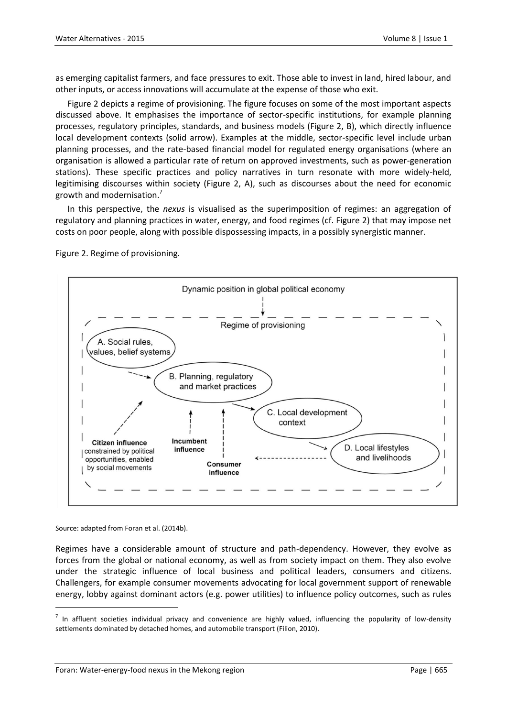as emerging capitalist farmers, and face pressures to exit. Those able to invest in land, hired labour, and other inputs, or access innovations will accumulate at the expense of those who exit.

Figure 2 depicts a regime of provisioning. The figure focuses on some of the most important aspects discussed above. It emphasises the importance of sector-specific institutions, for example planning processes, regulatory principles, standards, and business models (Figure 2, B), which directly influence local development contexts (solid arrow). Examples at the middle, sector-specific level include urban planning processes, and the rate-based financial model for regulated energy organisations (where an organisation is allowed a particular rate of return on approved investments, such as power-generation stations). These specific practices and policy narratives in turn resonate with more widely-held, legitimising discourses within society (Figure 2, A), such as discourses about the need for economic growth and modernisation.<sup>7</sup>

In this perspective, the *nexus* is visualised as the superimposition of regimes: an aggregation of regulatory and planning practices in water, energy, and food regimes (cf. Figure 2) that may impose net costs on poor people, along with possible dispossessing impacts, in a possibly synergistic manner.

Figure 2. Regime of provisioning.



Source: adapted from Foran et al. (2014b).

 $\ddot{\phantom{a}}$ 

Regimes have a considerable amount of structure and path-dependency. However, they evolve as forces from the global or national economy, as well as from society impact on them. They also evolve under the strategic influence of local business and political leaders, consumers and citizens. Challengers, for example consumer movements advocating for local government support of renewable energy, lobby against dominant actors (e.g. power utilities) to influence policy outcomes, such as rules

 $^7$  In affluent societies individual privacy and convenience are highly valued, influencing the popularity of low-density settlements dominated by detached homes, and automobile transport (Filion, 2010).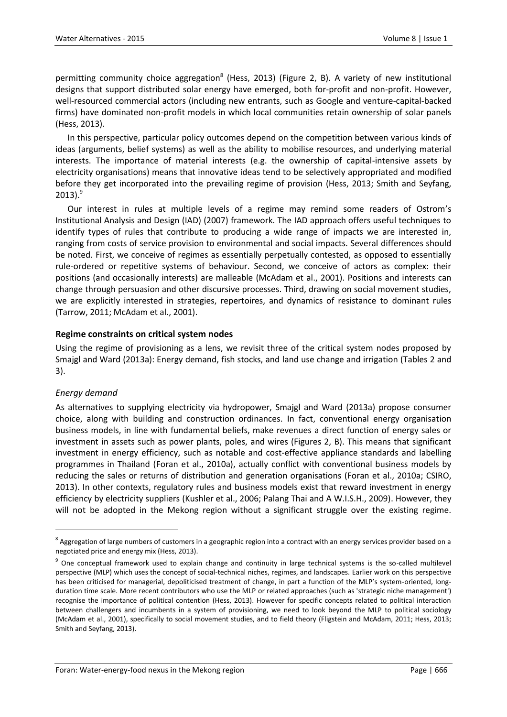permitting community choice aggregation<sup>8</sup> (Hess, 2013) (Figure 2, B). A variety of new institutional designs that support distributed solar energy have emerged, both for-profit and non-profit. However, well-resourced commercial actors (including new entrants, such as Google and venture-capital-backed firms) have dominated non-profit models in which local communities retain ownership of solar panels (Hess, 2013).

In this perspective, particular policy outcomes depend on the competition between various kinds of ideas (arguments, belief systems) as well as the ability to mobilise resources, and underlying material interests. The importance of material interests (e.g. the ownership of capital-intensive assets by electricity organisations) means that innovative ideas tend to be selectively appropriated and modified before they get incorporated into the prevailing regime of provision (Hess, 2013; Smith and Seyfang,  $2013).<sup>9</sup>$ 

Our interest in rules at multiple levels of a regime may remind some readers of Ostrom's Institutional Analysis and Design (IAD) (2007) framework. The IAD approach offers useful techniques to identify types of rules that contribute to producing a wide range of impacts we are interested in, ranging from costs of service provision to environmental and social impacts. Several differences should be noted. First, we conceive of regimes as essentially perpetually contested, as opposed to essentially rule-ordered or repetitive systems of behaviour. Second, we conceive of actors as complex: their positions (and occasionally interests) are malleable (McAdam et al., 2001). Positions and interests can change through persuasion and other discursive processes. Third, drawing on social movement studies, we are explicitly interested in strategies, repertoires, and dynamics of resistance to dominant rules (Tarrow, 2011; McAdam et al., 2001).

# **Regime constraints on critical system nodes**

Using the regime of provisioning as a lens, we revisit three of the critical system nodes proposed by Smajgl and Ward (2013a): Energy demand, fish stocks, and land use change and irrigation (Tables 2 and 3).

# *Energy demand*

 $\ddot{\phantom{a}}$ 

As alternatives to supplying electricity via hydropower, Smajgl and Ward (2013a) propose consumer choice, along with building and construction ordinances. In fact, conventional energy organisation business models, in line with fundamental beliefs, make revenues a direct function of energy sales or investment in assets such as power plants, poles, and wires (Figures 2, B). This means that significant investment in energy efficiency, such as notable and cost-effective appliance standards and labelling programmes in Thailand (Foran et al., 2010a), actually conflict with conventional business models by reducing the sales or returns of distribution and generation organisations (Foran et al., 2010a; CSIRO, 2013). In other contexts, regulatory rules and business models exist that reward investment in energy efficiency by electricity suppliers (Kushler et al., 2006; Palang Thai and A W.I.S.H., 2009). However, they will not be adopted in the Mekong region without a significant struggle over the existing regime.

 $^8$  Aggregation of large numbers of customers in a geographic region into a contract with an energy services provider based on a negotiated price and energy mix (Hess, 2013).

<sup>&</sup>lt;sup>9</sup> One conceptual framework used to explain change and continuity in large technical systems is the so-called multilevel perspective (MLP) which uses the concept of social-technical niches, regimes, and landscapes. Earlier work on this perspective has been criticised for managerial, depoliticised treatment of change, in part a function of the MLP's system-oriented, longduration time scale. More recent contributors who use the MLP or related approaches (such as 'strategic niche management') recognise the importance of political contention (Hess, 2013). However for specific concepts related to political interaction between challengers and incumbents in a system of provisioning, we need to look beyond the MLP to political sociology (McAdam et al., 2001), specifically to social movement studies, and to field theory (Fligstein and McAdam, 2011; Hess, 2013; Smith and Seyfang, 2013).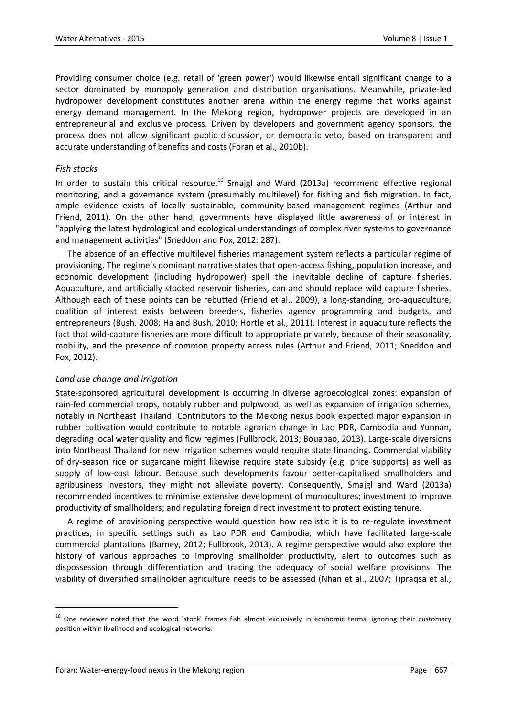Providing consumer choice (e.g. retail of 'green power') would likewise entail significant change to a sector dominated by monopoly generation and distribution organisations. Meanwhile, private-led hydropower development constitutes another arena within the energy regime that works against energy demand management. In the Mekong region, hydropower projects are developed in an entrepreneurial and exclusive process. Driven by developers and government agency sponsors, the process does not allow significant public discussion, or democratic veto, based on transparent and accurate understanding of benefits and costs (Foran et al., 2010b).

# *Fish stocks*

In order to sustain this critical resource, $10$  Smajgl and Ward (2013a) recommend effective regional monitoring, and a governance system (presumably multilevel) for fishing and fish migration. In fact, ample evidence exists of locally sustainable, community-based management regimes (Arthur and Friend, 2011). On the other hand, governments have displayed little awareness of or interest in "applying the latest hydrological and ecological understandings of complex river systems to governance and management activities" (Sneddon and Fox, 2012: 287).

The absence of an effective multilevel fisheries management system reflects a particular regime of provisioning. The regime's dominant narrative states that open-access fishing, population increase, and economic development (including hydropower) spell the inevitable decline of capture fisheries. Aquaculture, and artificially stocked reservoir fisheries, can and should replace wild capture fisheries. Although each of these points can be rebutted (Friend et al., 2009), a long-standing, pro-aquaculture, coalition of interest exists between breeders, fisheries agency programming and budgets, and entrepreneurs (Bush, 2008; Ha and Bush, 2010; Hortle et al., 2011). Interest in aquaculture reflects the fact that wild-capture fisheries are more difficult to appropriate privately, because of their seasonality, mobility, and the presence of common property access rules (Arthur and Friend, 2011; Sneddon and Fox, 2012).

# *Land use change and irrigation*

State-sponsored agricultural development is occurring in diverse agroecological zones: expansion of rain-fed commercial crops, notably rubber and pulpwood, as well as expansion of irrigation schemes, notably in Northeast Thailand. Contributors to the Mekong nexus book expected major expansion in rubber cultivation would contribute to notable agrarian change in Lao PDR, Cambodia and Yunnan, degrading local water quality and flow regimes (Fullbrook, 2013; Bouapao, 2013). Large-scale diversions into Northeast Thailand for new irrigation schemes would require state financing. Commercial viability of dry-season rice or sugarcane might likewise require state subsidy (e.g. price supports) as well as supply of low-cost labour. Because such developments favour better-capitalised smallholders and agribusiness investors, they might not alleviate poverty. Consequently, Smajgl and Ward (2013a) recommended incentives to minimise extensive development of monocultures; investment to improve productivity of smallholders; and regulating foreign direct investment to protect existing tenure.

A regime of provisioning perspective would question how realistic it is to re-regulate investment practices, in specific settings such as Lao PDR and Cambodia, which have facilitated large-scale commercial plantations (Barney, 2012; Fullbrook, 2013). A regime perspective would also explore the history of various approaches to improving smallholder productivity, alert to outcomes such as dispossession through differentiation and tracing the adequacy of social welfare provisions. The viability of diversified smallholder agriculture needs to be assessed (Nhan et al., 2007; Tipraqsa et al.,

 $\ddot{\phantom{a}}$ 

<sup>&</sup>lt;sup>10</sup> One reviewer noted that the word 'stock' frames fish almost exclusively in economic terms, ignoring their customary position within livelihood and ecological networks.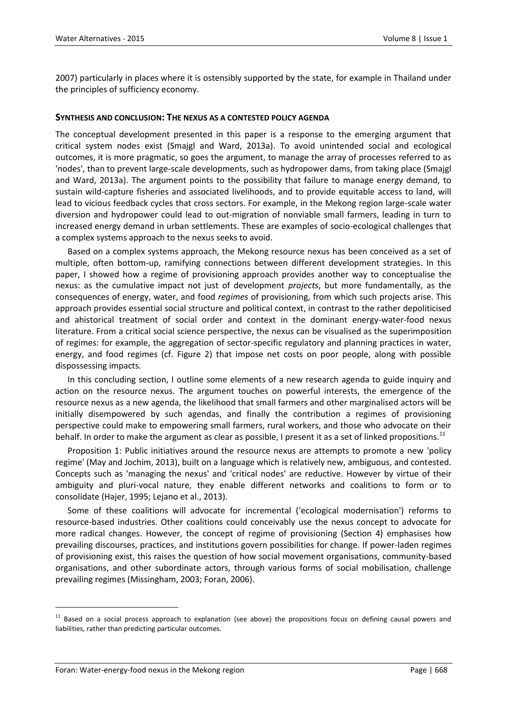2007) particularly in places where it is ostensibly supported by the state, for example in Thailand under the principles of sufficiency economy.

#### **SYNTHESIS AND CONCLUSION: THE NEXUS AS A CONTESTED POLICY AGENDA**

The conceptual development presented in this paper is a response to the emerging argument that critical system nodes exist (Smajgl and Ward, 2013a). To avoid unintended social and ecological outcomes, it is more pragmatic, so goes the argument, to manage the array of processes referred to as 'nodes', than to prevent large-scale developments, such as hydropower dams, from taking place (Smajgl and Ward, 2013a). The argument points to the possibility that failure to manage energy demand, to sustain wild-capture fisheries and associated livelihoods, and to provide equitable access to land, will lead to vicious feedback cycles that cross sectors. For example, in the Mekong region large-scale water diversion and hydropower could lead to out-migration of nonviable small farmers, leading in turn to increased energy demand in urban settlements. These are examples of socio-ecological challenges that a complex systems approach to the nexus seeks to avoid.

Based on a complex systems approach, the Mekong resource nexus has been conceived as a set of multiple, often bottom-up, ramifying connections between different development strategies. In this paper, I showed how a regime of provisioning approach provides another way to conceptualise the nexus: as the cumulative impact not just of development *projects*, but more fundamentally, as the consequences of energy, water, and food *regimes* of provisioning, from which such projects arise. This approach provides essential social structure and political context, in contrast to the rather depoliticised and ahistorical treatment of social order and context in the dominant energy-water-food nexus literature. From a critical social science perspective, the nexus can be visualised as the superimposition of regimes: for example, the aggregation of sector-specific regulatory and planning practices in water, energy, and food regimes (cf. Figure 2) that impose net costs on poor people, along with possible dispossessing impacts.

In this concluding section, I outline some elements of a new research agenda to guide inquiry and action on the resource nexus. The argument touches on powerful interests, the emergence of the resource nexus as a new agenda, the likelihood that small farmers and other marginalised actors will be initially disempowered by such agendas, and finally the contribution a regimes of provisioning perspective could make to empowering small farmers, rural workers, and those who advocate on their behalf. In order to make the argument as clear as possible, I present it as a set of linked propositions.<sup>11</sup>

Proposition 1: Public initiatives around the resource nexus are attempts to promote a new 'policy regime' (May and Jochim, 2013), built on a language which is relatively new, ambiguous, and contested. Concepts such as 'managing the nexus' and 'critical nodes' are reductive. However by virtue of their ambiguity and pluri-vocal nature, they enable different networks and coalitions to form or to consolidate (Hajer, 1995; Lejano et al., 2013).

Some of these coalitions will advocate for incremental ('ecological modernisation') reforms to resource-based industries. Other coalitions could conceivably use the nexus concept to advocate for more radical changes. However, the concept of regime of provisioning (Section 4) emphasises how prevailing discourses, practices, and institutions govern possibilities for change. If power-laden regimes of provisioning exist, this raises the question of how social movement organisations, community-based organisations, and other subordinate actors, through various forms of social mobilisation, challenge prevailing regimes (Missingham, 2003; Foran, 2006).

 $\ddot{\phantom{a}}$ 

<sup>&</sup>lt;sup>11</sup> Based on a social process approach to explanation (see above) the propositions focus on defining causal powers and liabilities, rather than predicting particular outcomes.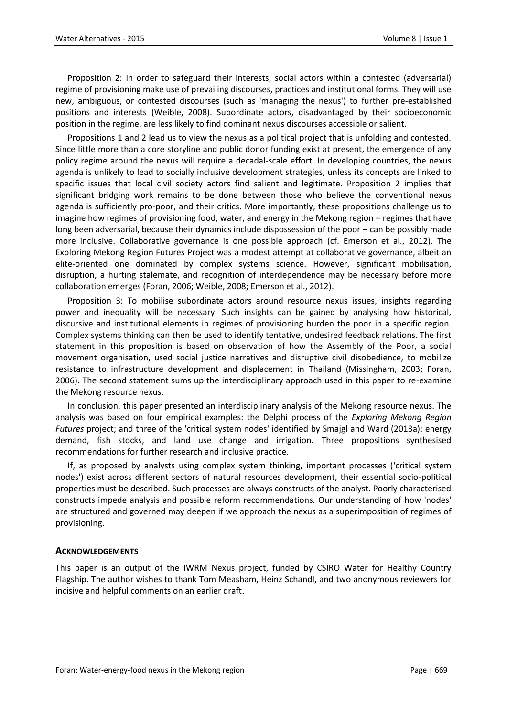Proposition 2: In order to safeguard their interests, social actors within a contested (adversarial) regime of provisioning make use of prevailing discourses, practices and institutional forms. They will use new, ambiguous, or contested discourses (such as 'managing the nexus') to further pre-established positions and interests (Weible, 2008). Subordinate actors, disadvantaged by their socioeconomic position in the regime, are less likely to find dominant nexus discourses accessible or salient.

Propositions 1 and 2 lead us to view the nexus as a political project that is unfolding and contested. Since little more than a core storyline and public donor funding exist at present, the emergence of any policy regime around the nexus will require a decadal-scale effort. In developing countries, the nexus agenda is unlikely to lead to socially inclusive development strategies, unless its concepts are linked to specific issues that local civil society actors find salient and legitimate. Proposition 2 implies that significant bridging work remains to be done between those who believe the conventional nexus agenda is sufficiently pro-poor, and their critics. More importantly, these propositions challenge us to imagine how regimes of provisioning food, water, and energy in the Mekong region – regimes that have long been adversarial, because their dynamics include dispossession of the poor – can be possibly made more inclusive. Collaborative governance is one possible approach (cf. Emerson et al., 2012). The Exploring Mekong Region Futures Project was a modest attempt at collaborative governance, albeit an elite-oriented one dominated by complex systems science. However, significant mobilisation, disruption, a hurting stalemate, and recognition of interdependence may be necessary before more collaboration emerges (Foran, 2006; Weible, 2008; Emerson et al., 2012).

Proposition 3: To mobilise subordinate actors around resource nexus issues, insights regarding power and inequality will be necessary. Such insights can be gained by analysing how historical, discursive and institutional elements in regimes of provisioning burden the poor in a specific region. Complex systems thinking can then be used to identify tentative, undesired feedback relations. The first statement in this proposition is based on observation of how the Assembly of the Poor, a social movement organisation, used social justice narratives and disruptive civil disobedience, to mobilize resistance to infrastructure development and displacement in Thailand (Missingham, 2003; Foran, 2006). The second statement sums up the interdisciplinary approach used in this paper to re-examine the Mekong resource nexus.

In conclusion, this paper presented an interdisciplinary analysis of the Mekong resource nexus. The analysis was based on four empirical examples: the Delphi process of the *Exploring Mekong Region Futures* project; and three of the 'critical system nodes' identified by Smajgl and Ward (2013a): energy demand, fish stocks, and land use change and irrigation. Three propositions synthesised recommendations for further research and inclusive practice.

If, as proposed by analysts using complex system thinking, important processes ('critical system nodes') exist across different sectors of natural resources development, their essential socio-political properties must be described. Such processes are always constructs of the analyst. Poorly characterised constructs impede analysis and possible reform recommendations. Our understanding of how 'nodes' are structured and governed may deepen if we approach the nexus as a superimposition of regimes of provisioning.

# **ACKNOWLEDGEMENTS**

This paper is an output of the IWRM Nexus project, funded by CSIRO Water for Healthy Country Flagship. The author wishes to thank Tom Measham, Heinz Schandl, and two anonymous reviewers for incisive and helpful comments on an earlier draft.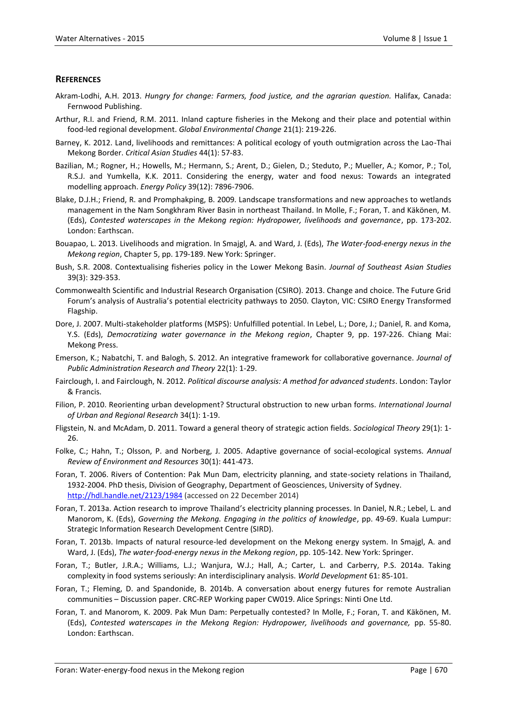#### **REFERENCES**

- Akram-Lodhi, A.H. 2013. *Hungry for change: Farmers, food justice, and the agrarian question.* Halifax, Canada: Fernwood Publishing.
- Arthur, R.I. and Friend, R.M. 2011. Inland capture fisheries in the Mekong and their place and potential within food-led regional development. *Global Environmental Change* 21(1): 219-226.
- Barney, K. 2012. Land, livelihoods and remittances: A political ecology of youth outmigration across the Lao-Thai Mekong Border. *Critical Asian Studies* 44(1): 57-83.
- Bazilian, M.; Rogner, H.; Howells, M.; Hermann, S.; Arent, D.; Gielen, D.; Steduto, P.; Mueller, A.; Komor, P.; Tol, R.S.J. and Yumkella, K.K. 2011. Considering the energy, water and food nexus: Towards an integrated modelling approach. *Energy Policy* 39(12): 7896-7906.
- Blake, D.J.H.; Friend, R. and Promphakping, B. 2009. Landscape transformations and new approaches to wetlands management in the Nam Songkhram River Basin in northeast Thailand. In Molle, F.; Foran, T. and Käkönen, M. (Eds), *Contested waterscapes in the Mekong region: Hydropower, livelihoods and governance*, pp. 173-202. London: Earthscan.
- Bouapao, L. 2013. Livelihoods and migration. In Smajgl, A. and Ward, J. (Eds), *The Water-food-energy nexus in the Mekong region*, Chapter 5, pp. 179-189. New York: Springer.
- Bush, S.R. 2008. Contextualising fisheries policy in the Lower Mekong Basin. *Journal of Southeast Asian Studies* 39(3): 329-353.
- Commonwealth Scientific and Industrial Research Organisation (CSIRO). 2013. Change and choice. The Future Grid Forum's analysis of Australia's potential electricity pathways to 2050. Clayton, VIC: CSIRO Energy Transformed Flagship.
- Dore, J. 2007. Multi-stakeholder platforms (MSPS): Unfulfilled potential. In Lebel, L.; Dore, J.; Daniel, R. and Koma, Y.S. (Eds), *Democratizing water governance in the Mekong region*, Chapter 9, pp. 197-226. Chiang Mai: Mekong Press.
- Emerson, K.; Nabatchi, T. and Balogh, S. 2012. An integrative framework for collaborative governance. *Journal of Public Administration Research and Theory* 22(1): 1-29.
- Fairclough, I. and Fairclough, N. 2012. *Political discourse analysis: A method for advanced students*. London: Taylor & Francis.
- Filion, P. 2010. Reorienting urban development? Structural obstruction to new urban forms. *International Journal of Urban and Regional Research* 34(1): 1-19.
- Fligstein, N. and McAdam, D. 2011. Toward a general theory of strategic action fields. *Sociological Theory* 29(1): 1- 26.
- Folke, C.; Hahn, T.; Olsson, P. and Norberg, J. 2005. Adaptive governance of social-ecological systems. *Annual Review of Environment and Resources* 30(1): 441-473.
- Foran, T. 2006. Rivers of Contention: Pak Mun Dam, electricity planning, and state-society relations in Thailand, 1932-2004. PhD thesis, Division of Geography, Department of Geosciences, University of Sydney. <http://hdl.handle.net/2123/1984> (accessed on 22 December 2014)
- Foran, T. 2013a. Action research to improve Thailand's electricity planning processes. In Daniel, N.R.; Lebel, L. and Manorom, K. (Eds), *Governing the Mekong. Engaging in the politics of knowledge*, pp. 49-69. Kuala Lumpur: Strategic Information Research Development Centre (SIRD).
- Foran, T. 2013b. Impacts of natural resource-led development on the Mekong energy system. In Smajgl, A. and Ward, J. (Eds), *The water-food-energy nexus in the Mekong region*, pp. 105-142. New York: Springer.
- Foran, T.; Butler, J.R.A.; Williams, L.J.; Wanjura, W.J.; Hall, A.; Carter, L. and Carberry, P.S. 2014a. Taking complexity in food systems seriously: An interdisciplinary analysis. *World Development* 61: 85-101.
- Foran, T.; Fleming, D. and Spandonide, B. 2014b. A conversation about energy futures for remote Australian communities – Discussion paper. CRC-REP Working paper CW019. Alice Springs: Ninti One Ltd.
- Foran, T. and Manorom, K. 2009. Pak Mun Dam: Perpetually contested? In Molle, F.; Foran, T. and Käkönen, M. (Eds), *Contested waterscapes in the Mekong Region: Hydropower, livelihoods and governance,* pp. 55-80. London: Earthscan.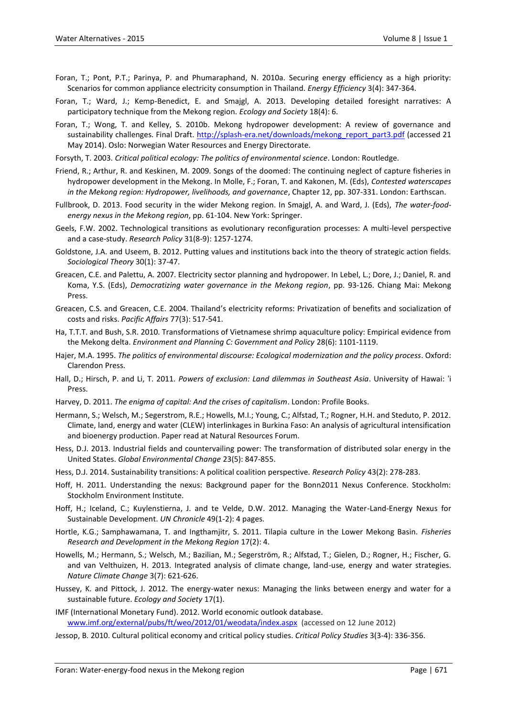- Foran, T.; Pont, P.T.; Parinya, P. and Phumaraphand, N. 2010a. Securing energy efficiency as a high priority: Scenarios for common appliance electricity consumption in Thailand. *Energy Efficiency* 3(4): 347-364.
- Foran, T.; Ward, J.; Kemp-Benedict, E. and Smajgl, A. 2013. Developing detailed foresight narratives: A participatory technique from the Mekong region. *Ecology and Society* 18(4): 6.
- Foran, T.; Wong, T. and Kelley, S. 2010b. Mekong hydropower development: A review of governance and sustainability challenges. Final Draft. [http://splash-era.net/downloads/mekong\\_report\\_part3.pdf](http://splash-era.net/downloads/mekong_report_part3.pdf) (accessed 21 May 2014). Oslo: Norwegian Water Resources and Energy Directorate.
- Forsyth, T. 2003. *Critical political ecology: The politics of environmental science*. London: Routledge.
- Friend, R.; Arthur, R. and Keskinen, M. 2009. Songs of the doomed: The continuing neglect of capture fisheries in hydropower development in the Mekong. In Molle, F.; Foran, T. and Kakonen, M. (Eds), *Contested waterscapes in the Mekong region: Hydropower, livelihoods, and governance*, Chapter 12, pp. 307-331. London: Earthscan.
- Fullbrook, D. 2013. Food security in the wider Mekong region. In Smajgl, A. and Ward, J. (Eds), *The water-foodenergy nexus in the Mekong region*, pp. 61-104. New York: Springer.
- Geels, F.W. 2002. Technological transitions as evolutionary reconfiguration processes: A multi-level perspective and a case-study. *Research Policy* 31(8-9): 1257-1274.
- Goldstone, J.A. and Useem, B. 2012. Putting values and institutions back into the theory of strategic action fields. *Sociological Theory* 30(1): 37-47.
- Greacen, C.E. and Palettu, A. 2007. Electricity sector planning and hydropower. In Lebel, L.; Dore, J.; Daniel, R. and Koma, Y.S. (Eds), *Democratizing water governance in the Mekong region*, pp. 93-126. Chiang Mai: Mekong Press.
- Greacen, C.S. and Greacen, C.E. 2004. Thailand's electricity reforms: Privatization of benefits and socialization of costs and risks. *Pacific Affairs* 77(3): 517-541.
- Ha, T.T.T. and Bush, S.R. 2010. Transformations of Vietnamese shrimp aquaculture policy: Empirical evidence from the Mekong delta. *Environment and Planning C: Government and Policy* 28(6): 1101-1119.
- Hajer, M.A. 1995. *The politics of environmental discourse: Ecological modernization and the policy process*. Oxford: Clarendon Press.
- Hall, D.; Hirsch, P. and Li, T. 2011. *Powers of exclusion: Land dilemmas in Southeast Asia*. University of Hawai: ʻi Press.
- Harvey, D. 2011. *The enigma of capital: And the crises of capitalism*. London: Profile Books.
- Hermann, S.; Welsch, M.; Segerstrom, R.E.; Howells, M.I.; Young, C.; Alfstad, T.; Rogner, H.H. and Steduto, P. 2012. Climate, land, energy and water (CLEW) interlinkages in Burkina Faso: An analysis of agricultural intensification and bioenergy production. Paper read at Natural Resources Forum.
- Hess, D.J. 2013. Industrial fields and countervailing power: The transformation of distributed solar energy in the United States. *Global Environmental Change* 23(5): 847-855.
- Hess, D.J. 2014. Sustainability transitions: A political coalition perspective. *Research Policy* 43(2): 278-283.
- Hoff, H. 2011. Understanding the nexus: Background paper for the Bonn2011 Nexus Conference. Stockholm: Stockholm Environment Institute.
- Hoff, H.; Iceland, C.; Kuylenstierna, J. and te Velde, D.W. 2012. Managing the Water-Land-Energy Nexus for Sustainable Development. *UN Chronicle* 49(1-2): 4 pages.
- Hortle, K.G.; Samphawamana, T. and Ingthamjitr, S. 2011. Tilapia culture in the Lower Mekong Basin. *Fisheries Research and Development in the Mekong Region* 17(2): 4.
- Howells, M.; Hermann, S.; Welsch, M.; Bazilian, M.; Segerström, R.; Alfstad, T.; Gielen, D.; Rogner, H.; Fischer, G. and van Velthuizen, H. 2013. Integrated analysis of climate change, land-use, energy and water strategies. *Nature Climate Change* 3(7): 621-626.
- Hussey, K. and Pittock, J. 2012. The energy-water nexus: Managing the links between energy and water for a sustainable future. *Ecology and Society* 17(1).
- IMF (International Monetary Fund). 2012. World economic outlook database. [www.imf.org/external/pubs/ft/weo/2012/01/weodata/index.aspx](http://www.imf.org/external/pubs/ft/weo/2012/01/weodata/index.aspx) (accessed on 12 June 2012)
- Jessop, B. 2010. Cultural political economy and critical policy studies. *Critical Policy Studies* 3(3-4): 336-356.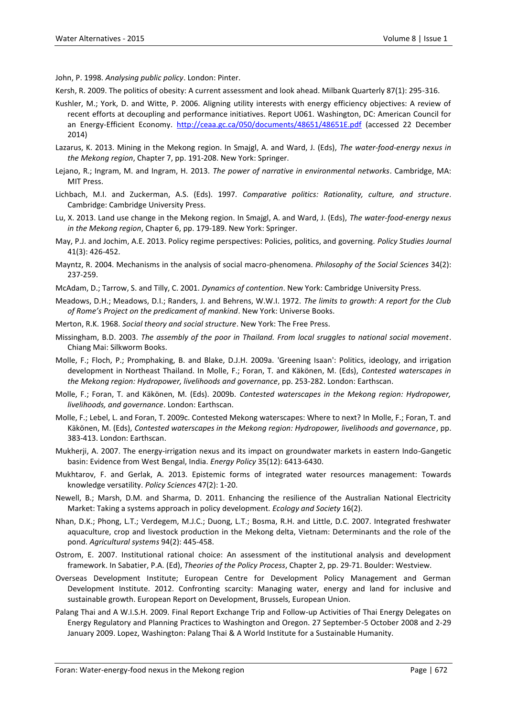John, P. 1998. *Analysing public policy*. London: Pinter.

Kersh, R. 2009. The politics of obesity: A current assessment and look ahead. Milbank Quarterly 87(1): 295-316.

- Kushler, M.; York, D. and Witte, P. 2006. Aligning utility interests with energy efficiency objectives: A review of recent efforts at decoupling and performance initiatives. Report U061. Washington, DC: American Council for an Energy-Efficient Economy. <http://ceaa.gc.ca/050/documents/48651/48651E.pdf> (accessed 22 December 2014)
- Lazarus, K. 2013. Mining in the Mekong region. In Smajgl, A. and Ward, J. (Eds), *The water-food-energy nexus in the Mekong region*, Chapter 7, pp. 191-208. New York: Springer.
- Lejano, R.; Ingram, M. and Ingram, H. 2013. *The power of narrative in environmental networks*. Cambridge, MA: MIT Press.
- Lichbach, M.I. and Zuckerman, A.S. (Eds). 1997. *Comparative politics: Rationality, culture, and structure*. Cambridge: Cambridge University Press.
- Lu, X. 2013. Land use change in the Mekong region. In Smajgl, A. and Ward, J. (Eds), *The water-food-energy nexus in the Mekong region*, Chapter 6, pp. 179-189. New York: Springer.
- May, P.J. and Jochim, A.E. 2013. Policy regime perspectives: Policies, politics, and governing. *Policy Studies Journal* 41(3): 426-452.
- Mayntz, R. 2004. Mechanisms in the analysis of social macro-phenomena. *Philosophy of the Social Sciences* 34(2): 237-259.
- McAdam, D.; Tarrow, S. and Tilly, C. 2001. *Dynamics of contention*. New York: Cambridge University Press.
- Meadows, D.H.; Meadows, D.I.; Randers, J. and Behrens, W.W.I. 1972. *The limits to growth: A report for the Club of Rome's Project on the predicament of mankind*. New York: Universe Books.
- Merton, R.K. 1968. *Social theory and social structure*. New York: The Free Press.
- Missingham, B.D. 2003. *The assembly of the poor in Thailand. From local sruggles to national social movement*. Chiang Mai: Silkworm Books.
- Molle, F.; Floch, P.; Promphaking, B. and Blake, D.J.H. 2009a. 'Greening Isaan': Politics, ideology, and irrigation development in Northeast Thailand. In Molle, F.; Foran, T. and Käkönen, M. (Eds), *Contested waterscapes in the Mekong region: Hydropower, livelihoods and governance*, pp. 253-282. London: Earthscan.
- Molle, F.; Foran, T. and Käkönen, M. (Eds). 2009b. *Contested waterscapes in the Mekong region: Hydropower, livelihoods, and governance*. London: Earthscan.
- Molle, F.; Lebel, L. and Foran, T. 2009c. Contested Mekong waterscapes: Where to next? In Molle, F.; Foran, T. and Käkönen, M. (Eds), *Contested waterscapes in the Mekong region: Hydropower, livelihoods and governance*, pp. 383-413. London: Earthscan.
- Mukherji, A. 2007. The energy-irrigation nexus and its impact on groundwater markets in eastern Indo-Gangetic basin: Evidence from West Bengal, India. *Energy Policy* 35(12): 6413-6430.
- Mukhtarov, F. and Gerlak, A. 2013. Epistemic forms of integrated water resources management: Towards knowledge versatility. *Policy Sciences* 47(2): 1-20.
- Newell, B.; Marsh, D.M. and Sharma, D. 2011. Enhancing the resilience of the Australian National Electricity Market: Taking a systems approach in policy development. *Ecology and Society* 16(2).
- Nhan, D.K.; Phong, L.T.; Verdegem, M.J.C.; Duong, L.T.; Bosma, R.H. and Little, D.C. 2007. Integrated freshwater aquaculture, crop and livestock production in the Mekong delta, Vietnam: Determinants and the role of the pond. *Agricultural systems* 94(2): 445-458.
- Ostrom, E. 2007. Institutional rational choice: An assessment of the institutional analysis and development framework. In Sabatier, P.A. (Ed), *Theories of the Policy Process*, Chapter 2, pp. 29-71. Boulder: Westview.
- Overseas Development Institute; European Centre for Development Policy Management and German Development Institute. 2012. Confronting scarcity: Managing water, energy and land for inclusive and sustainable growth. European Report on Development, Brussels, European Union.
- Palang Thai and A W.I.S.H. 2009. Final Report Exchange Trip and Follow-up Activities of Thai Energy Delegates on Energy Regulatory and Planning Practices to Washington and Oregon. 27 September-5 October 2008 and 2-29 January 2009. Lopez, Washington: Palang Thai & A World Institute for a Sustainable Humanity.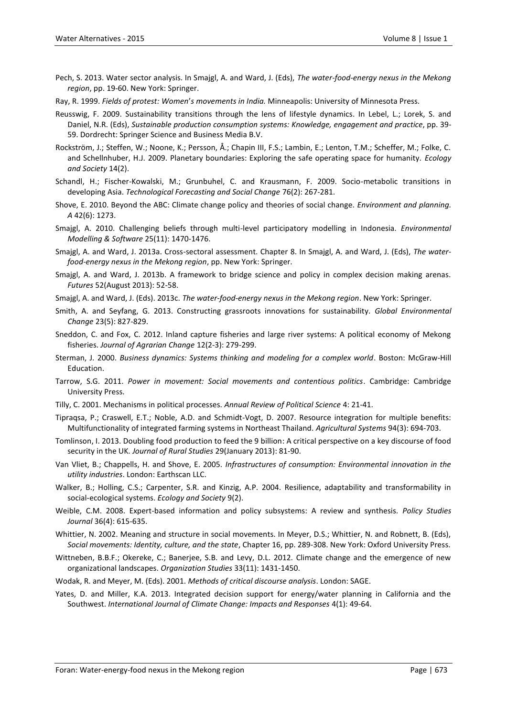- Pech, S. 2013. Water sector analysis. In Smajgl, A. and Ward, J. (Eds), *The water-food-energy nexus in the Mekong region*, pp. 19-60. New York: Springer.
- Ray, R. 1999. *Fields of protest: Women*'*s movements in India.* Minneapolis: University of Minnesota Press.
- Reusswig, F. 2009. Sustainability transitions through the lens of lifestyle dynamics. In Lebel, L.; Lorek, S. and Daniel, N.R. (Eds), *Sustainable production consumption systems: Knowledge, engagement and practice*, pp. 39- 59. Dordrecht: Springer Science and Business Media B.V.
- Rockström, J.; Steffen, W.; Noone, K.; Persson, Å.; Chapin III, F.S.; Lambin, E.; Lenton, T.M.; Scheffer, M.; Folke, C. and Schellnhuber, H.J. 2009. Planetary boundaries: Exploring the safe operating space for humanity. *Ecology and Society* 14(2).
- Schandl, H.; Fischer-Kowalski, M.; Grunbuhel, C. and Krausmann, F. 2009. Socio-metabolic transitions in developing Asia. *Technological Forecasting and Social Change* 76(2): 267-281.
- Shove, E. 2010. Beyond the ABC: Climate change policy and theories of social change. *Environment and planning. A* 42(6): 1273.
- Smajgl, A. 2010. Challenging beliefs through multi-level participatory modelling in Indonesia. *Environmental Modelling & Software* 25(11): 1470-1476.
- Smajgl, A. and Ward, J. 2013a. Cross-sectoral assessment. Chapter 8. In Smajgl, A. and Ward, J. (Eds), *The waterfood-energy nexus in the Mekong region*, pp. New York: Springer.
- Smajgl, A. and Ward, J. 2013b. A framework to bridge science and policy in complex decision making arenas. *Futures* 52(August 2013): 52-58.
- Smajgl, A. and Ward, J. (Eds). 2013c. *The water-food-energy nexus in the Mekong region*. New York: Springer.
- Smith, A. and Seyfang, G. 2013. Constructing grassroots innovations for sustainability. *Global Environmental Change* 23(5): 827-829.
- Sneddon, C. and Fox, C. 2012. Inland capture fisheries and large river systems: A political economy of Mekong fisheries. *Journal of Agrarian Change* 12(2-3): 279-299.
- Sterman, J. 2000. *Business dynamics: Systems thinking and modeling for a complex world*. Boston: McGraw-Hill Education.
- Tarrow, S.G. 2011. *Power in movement: Social movements and contentious politics*. Cambridge: Cambridge University Press.
- Tilly, C. 2001. Mechanisms in political processes. *Annual Review of Political Science* 4: 21-41.
- Tipraqsa, P.; Craswell, E.T.; Noble, A.D. and Schmidt-Vogt, D. 2007. Resource integration for multiple benefits: Multifunctionality of integrated farming systems in Northeast Thailand. *Agricultural Systems* 94(3): 694-703.
- Tomlinson, I. 2013. Doubling food production to feed the 9 billion: A critical perspective on a key discourse of food security in the UK. *Journal of Rural Studies* 29(January 2013): 81-90.
- Van Vliet, B.; Chappells, H. and Shove, E. 2005. *Infrastructures of consumption: Environmental innovation in the utility industries*. London: Earthscan LLC.
- Walker, B.; Holling, C.S.; Carpenter, S.R. and Kinzig, A.P. 2004. Resilience, adaptability and transformability in social-ecological systems. *Ecology and Society* 9(2).
- Weible, C.M. 2008. Expert-based information and policy subsystems: A review and synthesis. *Policy Studies Journal* 36(4): 615-635.
- Whittier, N. 2002. Meaning and structure in social movements. In Meyer, D.S.; Whittier, N. and Robnett, B. (Eds), *Social movements: Identity, culture, and the state*, Chapter 16, pp. 289-308. New York: Oxford University Press.
- Wittneben, B.B.F.; Okereke, C.; Banerjee, S.B. and Levy, D.L. 2012. Climate change and the emergence of new organizational landscapes. *Organization Studies* 33(11): 1431-1450.
- Wodak, R. and Meyer, M. (Eds). 2001. *Methods of critical discourse analysis*. London: SAGE.
- Yates, D. and Miller, K.A. 2013. Integrated decision support for energy/water planning in California and the Southwest. *International Journal of Climate Change: Impacts and Responses* 4(1): 49-64.